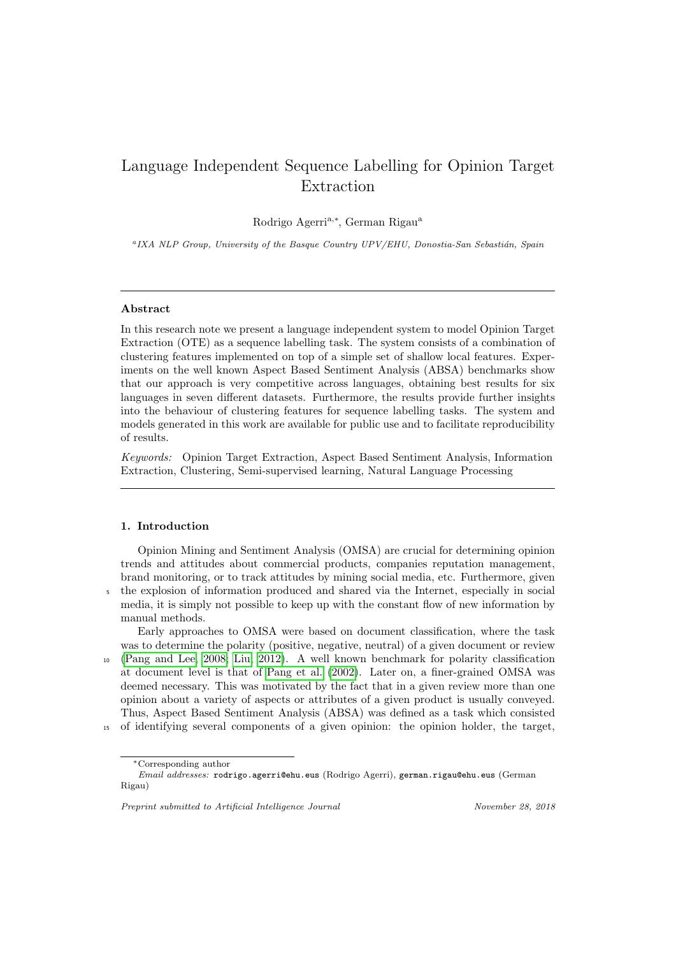# Language Independent Sequence Labelling for Opinion Target Extraction

Rodrigo Agerri<sup>a,∗</sup>, German Rigau<sup>a</sup>

<sup>a</sup>IXA NLP Group, University of the Basque Country UPV/EHU, Donostia-San Sebastián, Spain

## Abstract

In this research note we present a language independent system to model Opinion Target Extraction (OTE) as a sequence labelling task. The system consists of a combination of clustering features implemented on top of a simple set of shallow local features. Experiments on the well known Aspect Based Sentiment Analysis (ABSA) benchmarks show that our approach is very competitive across languages, obtaining best results for six languages in seven different datasets. Furthermore, the results provide further insights into the behaviour of clustering features for sequence labelling tasks. The system and models generated in this work are available for public use and to facilitate reproducibility of results.

Keywords: Opinion Target Extraction, Aspect Based Sentiment Analysis, Information Extraction, Clustering, Semi-supervised learning, Natural Language Processing

# 1. Introduction

Opinion Mining and Sentiment Analysis (OMSA) are crucial for determining opinion trends and attitudes about commercial products, companies reputation management, brand monitoring, or to track attitudes by mining social media, etc. Furthermore, given

<sup>5</sup> the explosion of information produced and shared via the Internet, especially in social media, it is simply not possible to keep up with the constant flow of new information by manual methods.

Early approaches to OMSA were based on document classification, where the task was to determine the polarity (positive, negative, neutral) of a given document or review

<sup>10</sup> [\(Pang and Lee, 2008;](#page-16-0) [Liu, 2012\)](#page-16-1). A well known benchmark for polarity classification at document level is that of [Pang et al.](#page-16-2) [\(2002\)](#page-16-2). Later on, a finer-grained OMSA was deemed necessary. This was motivated by the fact that in a given review more than one opinion about a variety of aspects or attributes of a given product is usually conveyed. Thus, Aspect Based Sentiment Analysis (ABSA) was defined as a task which consisted

<sup>15</sup> of identifying several components of a given opinion: the opinion holder, the target,

<sup>∗</sup>Corresponding author

Email addresses: rodrigo.agerri@ehu.eus (Rodrigo Agerri), german.rigau@ehu.eus (German Rigau)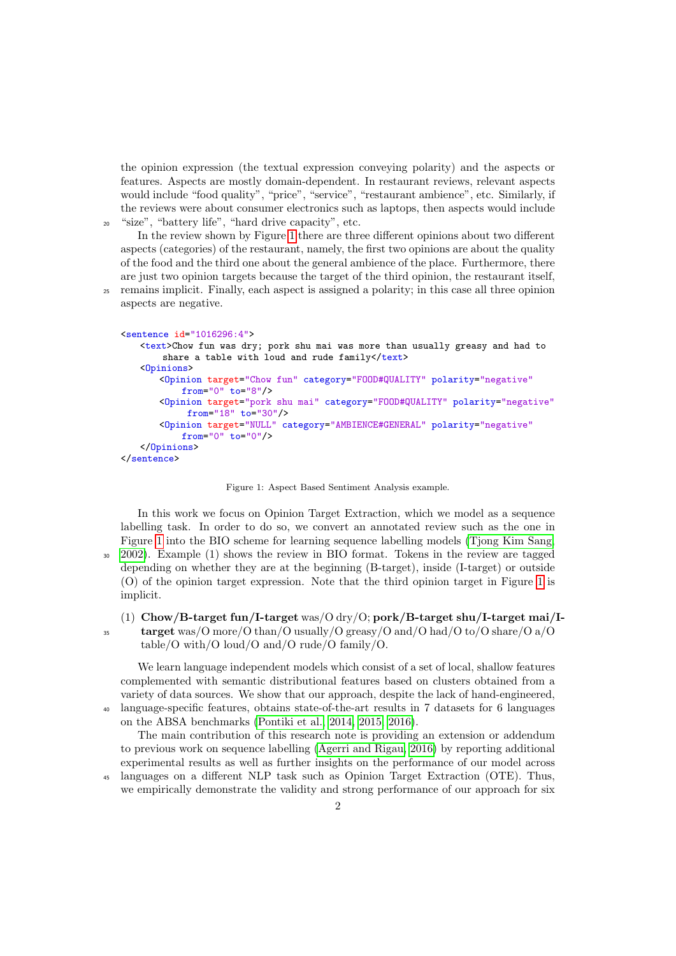the opinion expression (the textual expression conveying polarity) and the aspects or features. Aspects are mostly domain-dependent. In restaurant reviews, relevant aspects would include "food quality", "price", "service", "restaurant ambience", etc. Similarly, if the reviews were about consumer electronics such as laptops, then aspects would include <sup>20</sup> "size", "battery life", "hard drive capacity", etc.

In the review shown by Figure [1](#page-1-0) there are three different opinions about two different aspects (categories) of the restaurant, namely, the first two opinions are about the quality of the food and the third one about the general ambience of the place. Furthermore, there are just two opinion targets because the target of the third opinion, the restaurant itself,

<sup>25</sup> remains implicit. Finally, each aspect is assigned a polarity; in this case all three opinion aspects are negative.

```
<sentence id="1016296:4">
   <text>Chow fun was dry; pork shu mai was more than usually greasy and had to
       share a table with loud and rude family</text>
   <Opinions>
       <Opinion target="Chow fun" category="FOOD#QUALITY" polarity="negative"
           from="0" to="8"/>
       <Opinion target="pork shu mai" category="FOOD#QUALITY" polarity="negative"
            from="18" to="30"/>
       <Opinion target="NULL" category="AMBIENCE#GENERAL" polarity="negative"
           from="0" to="0"/>
   </Opinions>
</sentence>
```
<span id="page-1-0"></span>Figure 1: Aspect Based Sentiment Analysis example.

In this work we focus on Opinion Target Extraction, which we model as a sequence labelling task. In order to do so, we convert an annotated review such as the one in Figure [1](#page-1-0) into the BIO scheme for learning sequence labelling models [\(Tjong Kim Sang,](#page-16-3) <sup>30</sup> [2002\)](#page-16-3). Example (1) shows the review in BIO format. Tokens in the review are tagged depending on whether they are at the beginning (B-target), inside (I-target) or outside (O) of the opinion target expression. Note that the third opinion target in Figure [1](#page-1-0) is implicit.

(1) Chow/B-target fun/I-target was/ $\sim$  dry/ $\sim$ ; pork/B-target shu/I-target mai/I- $\frac{35}{35}$  target was/O more/O than/O usually/O greasy/O and/O had/O to/O share/O a/O table/O with/O loud/O and/O rude/O family/O.

We learn language independent models which consist of a set of local, shallow features complemented with semantic distributional features based on clusters obtained from a variety of data sources. We show that our approach, despite the lack of hand-engineered, <sup>40</sup> language-specific features, obtains state-of-the-art results in 7 datasets for 6 languages on the ABSA benchmarks [\(Pontiki et al., 2014,](#page-16-4) [2015,](#page-16-5) [2016\)](#page-16-6).

The main contribution of this research note is providing an extension or addendum to previous work on sequence labelling [\(Agerri and Rigau, 2016\)](#page-15-0) by reporting additional experimental results as well as further insights on the performance of our model across

<sup>45</sup> languages on a different NLP task such as Opinion Target Extraction (OTE). Thus, we empirically demonstrate the validity and strong performance of our approach for six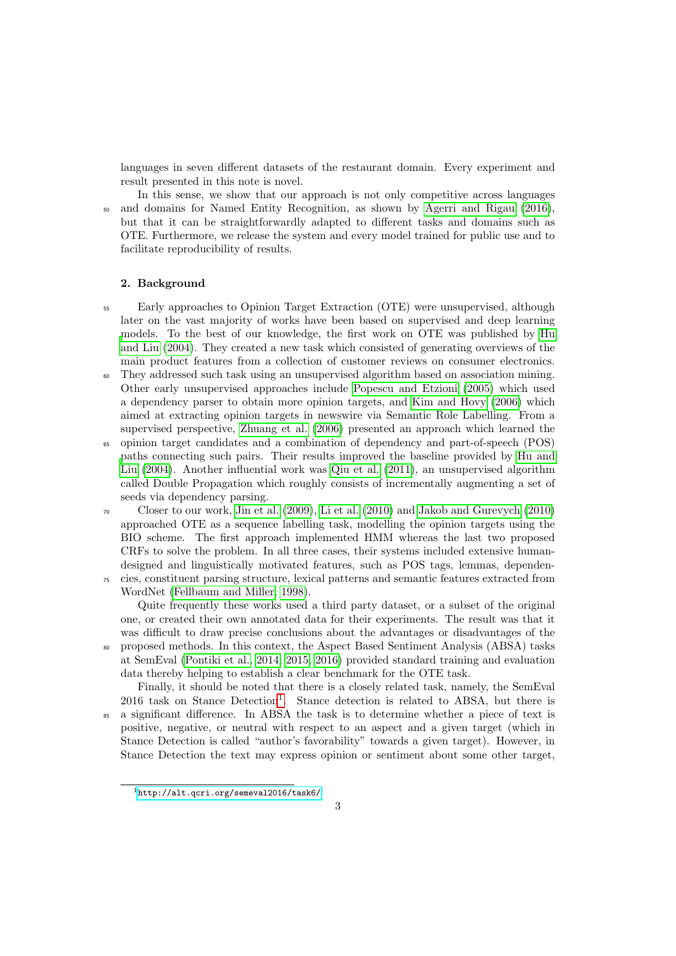languages in seven different datasets of the restaurant domain. Every experiment and result presented in this note is novel.

In this sense, we show that our approach is not only competitive across languages <sup>50</sup> and domains for Named Entity Recognition, as shown by [Agerri and Rigau](#page-15-0) [\(2016\)](#page-15-0), but that it can be straightforwardly adapted to different tasks and domains such as OTE. Furthermore, we release the system and every model trained for public use and to facilitate reproducibility of results.

## 2. Background

- <sup>55</sup> Early approaches to Opinion Target Extraction (OTE) were unsupervised, although later on the vast majority of works have been based on supervised and deep learning [m](#page-15-1)odels. To the best of our knowledge, the first work on OTE was published by [Hu](#page-15-1) [and Liu](#page-15-1) [\(2004\)](#page-15-1). They created a new task which consisted of generating overviews of the main product features from a collection of customer reviews on consumer electronics.
- They addressed such task using an unsupervised algorithm based on association mining. Other early unsupervised approaches include [Popescu and Etzioni](#page-16-7) [\(2005\)](#page-16-7) which used a dependency parser to obtain more opinion targets, and [Kim and Hovy](#page-16-8) [\(2006\)](#page-16-8) which aimed at extracting opinion targets in newswire via Semantic Role Labelling. From a supervised perspective, [Zhuang et al.](#page-17-0) [\(2006\)](#page-17-0) presented an approach which learned the
- <sup>65</sup> opinion target candidates and a combination of dependency and part-of-speech (POS) [p](#page-15-1)aths connecting such pairs. Their results improved the baseline provided by [Hu and](#page-15-1) [Liu](#page-15-1) [\(2004\)](#page-15-1). Another influential work was [Qiu et al.](#page-16-9) [\(2011\)](#page-16-9), an unsupervised algorithm called Double Propagation which roughly consists of incrementally augmenting a set of seeds via dependency parsing.
- $\sigma$  Closer to our work, [Jin et al.](#page-15-2) [\(2009\)](#page-15-2), [Li et al.](#page-16-10) [\(2010\)](#page-15-3) and [Jakob and Gurevych](#page-15-3) (2010) approached OTE as a sequence labelling task, modelling the opinion targets using the BIO scheme. The first approach implemented HMM whereas the last two proposed CRFs to solve the problem. In all three cases, their systems included extensive humandesigned and linguistically motivated features, such as POS tags, lemmas, dependen-<sup>75</sup> cies, constituent parsing structure, lexical patterns and semantic features extracted from WordNet [\(Fellbaum and Miller, 1998\)](#page-15-4).

Quite frequently these works used a third party dataset, or a subset of the original one, or created their own annotated data for their experiments. The result was that it was difficult to draw precise conclusions about the advantages or disadvantages of the <sup>80</sup> proposed methods. In this context, the Aspect Based Sentiment Analysis (ABSA) tasks at SemEval [\(Pontiki et al., 2014,](#page-16-4) [2015,](#page-16-5) [2016\)](#page-16-6) provided standard training and evaluation data thereby helping to establish a clear benchmark for the OTE task.

Finally, it should be noted that there is a closely related task, namely, the SemEval  $2016$  $2016$  $2016$  task on Stance Detection<sup>1</sup>. Stance detection is related to ABSA, but there is <sup>85</sup> a significant difference. In ABSA the task is to determine whether a piece of text is positive, negative, or neutral with respect to an aspect and a given target (which in Stance Detection is called "author's favorability" towards a given target). However, in Stance Detection the text may express opinion or sentiment about some other target,

<span id="page-2-0"></span><sup>1</sup><http://alt.qcri.org/semeval2016/task6/>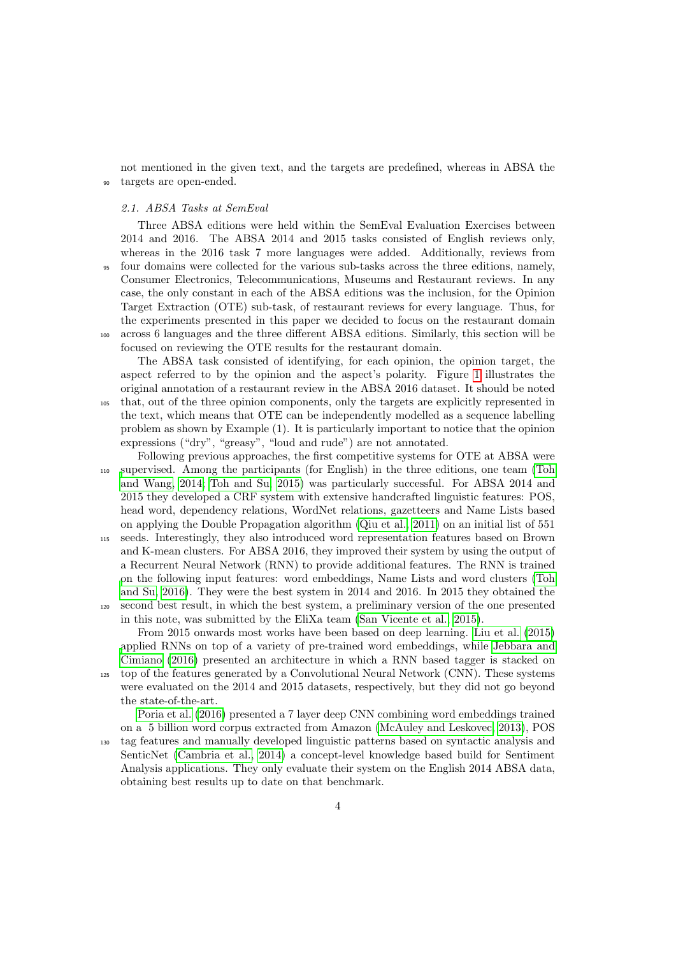not mentioned in the given text, and the targets are predefined, whereas in ABSA the <sup>90</sup> targets are open-ended.

#### <span id="page-3-0"></span>2.1. ABSA Tasks at SemEval

Three ABSA editions were held within the SemEval Evaluation Exercises between 2014 and 2016. The ABSA 2014 and 2015 tasks consisted of English reviews only, whereas in the 2016 task 7 more languages were added. Additionally, reviews from <sup>95</sup> four domains were collected for the various sub-tasks across the three editions, namely, Consumer Electronics, Telecommunications, Museums and Restaurant reviews. In any case, the only constant in each of the ABSA editions was the inclusion, for the Opinion Target Extraction (OTE) sub-task, of restaurant reviews for every language. Thus, for the experiments presented in this paper we decided to focus on the restaurant domain <sup>100</sup> across 6 languages and the three different ABSA editions. Similarly, this section will be focused on reviewing the OTE results for the restaurant domain.

The ABSA task consisted of identifying, for each opinion, the opinion target, the aspect referred to by the opinion and the aspect's polarity. Figure [1](#page-1-0) illustrates the original annotation of a restaurant review in the ABSA 2016 dataset. It should be noted <sup>105</sup> that, out of the three opinion components, only the targets are explicitly represented in the text, which means that OTE can be independently modelled as a sequence labelling problem as shown by Example (1). It is particularly important to notice that the opinion expressions ("dry", "greasy", "loud and rude") are not annotated.

Following previous approaches, the first competitive systems for OTE at ABSA were <sup>110</sup> [s](#page-17-1)upervised. Among the participants (for English) in the three editions, one team [\(Toh](#page-17-1) [and Wang, 2014;](#page-17-1) [Toh and Su, 2015\)](#page-16-11) was particularly successful. For ABSA 2014 and 2015 they developed a CRF system with extensive handcrafted linguistic features: POS, head word, dependency relations, WordNet relations, gazetteers and Name Lists based on applying the Double Propagation algorithm [\(Qiu et al., 2011\)](#page-16-9) on an initial list of 551

<sup>115</sup> seeds. Interestingly, they also introduced word representation features based on Brown and K-mean clusters. For ABSA 2016, they improved their system by using the output of a Recurrent Neural Network (RNN) to provide additional features. The RNN is trained [o](#page-16-12)n the following input features: word embeddings, Name Lists and word clusters [\(Toh](#page-16-12) [and Su, 2016\)](#page-16-12). They were the best system in 2014 and 2016. In 2015 they obtained the <sup>120</sup> second best result, in which the best system, a preliminary version of the one presented

in this note, was submitted by the EliXa team [\(San Vicente et al., 2015\)](#page-16-13). From 2015 onwards most works have been based on deep learning. [Liu et al.](#page-16-14) [\(2015\)](#page-16-14) [a](#page-15-5)pplied RNNs on top of a variety of pre-trained word embeddings, while [Jebbara and](#page-15-5) [Cimiano](#page-15-5) [\(2016\)](#page-15-5) presented an architecture in which a RNN based tagger is stacked on

<sup>125</sup> top of the features generated by a Convolutional Neural Network (CNN). These systems were evaluated on the 2014 and 2015 datasets, respectively, but they did not go beyond the state-of-the-art.

[Poria et al.](#page-16-15) [\(2016\)](#page-16-15) presented a 7 layer deep CNN combining word embeddings trained on a 5 billion word corpus extracted from Amazon [\(McAuley and Leskovec, 2013\)](#page-16-16), POS

<sup>130</sup> tag features and manually developed linguistic patterns based on syntactic analysis and SenticNet [\(Cambria et al., 2014\)](#page-15-6) a concept-level knowledge based build for Sentiment Analysis applications. They only evaluate their system on the English 2014 ABSA data, obtaining best results up to date on that benchmark.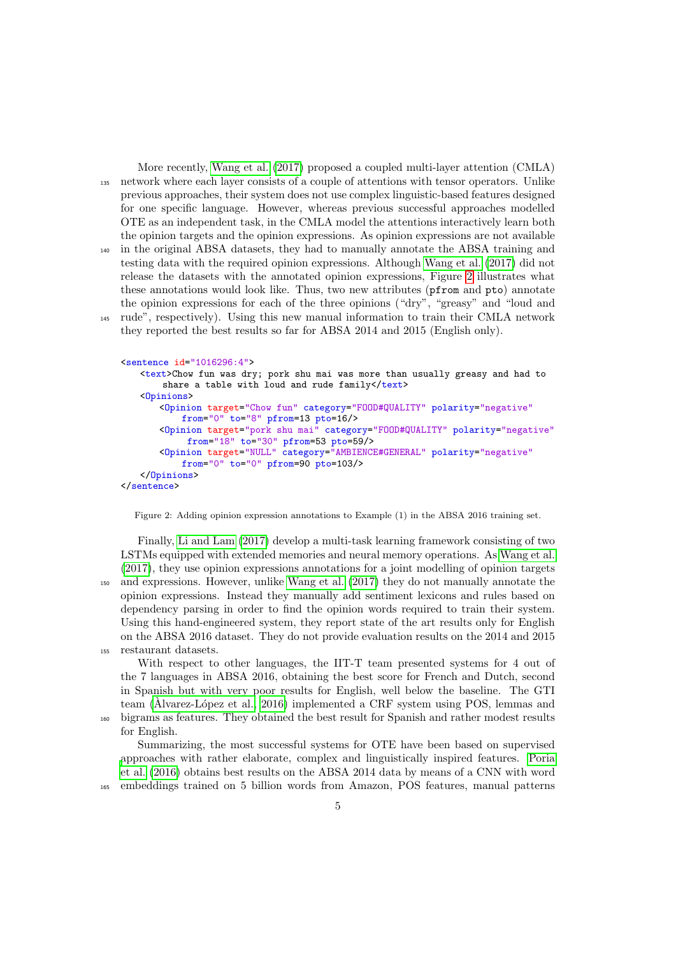More recently, [Wang et al.](#page-17-2) [\(2017\)](#page-17-2) proposed a coupled multi-layer attention (CMLA) <sup>135</sup> network where each layer consists of a couple of attentions with tensor operators. Unlike previous approaches, their system does not use complex linguistic-based features designed for one specific language. However, whereas previous successful approaches modelled OTE as an independent task, in the CMLA model the attentions interactively learn both the opinion targets and the opinion expressions. As opinion expressions are not available <sup>140</sup> in the original ABSA datasets, they had to manually annotate the ABSA training and testing data with the required opinion expressions. Although [Wang et al.](#page-17-2) [\(2017\)](#page-17-2) did not release the datasets with the annotated opinion expressions, Figure [2](#page-4-0) illustrates what these annotations would look like. Thus, two new attributes (pfrom and pto) annotate the opinion expressions for each of the three opinions ("dry", "greasy" and "loud and <sup>145</sup> rude", respectively). Using this new manual information to train their CMLA network they reported the best results so far for ABSA 2014 and 2015 (English only).

```
<sentence id="1016296:4">
   <text>Chow fun was dry; pork shu mai was more than usually greasy and had to
       share a table with loud and rude family</text>
   <Opinions>
       <Opinion target="Chow fun" category="FOOD#QUALITY" polarity="negative"
           from="0" to="8" pfrom=13 pto=16/>
       <Opinion target="pork shu mai" category="FOOD#QUALITY" polarity="negative"
            from="18" to="30" pfrom=53 pto=59/>
       <Opinion target="NULL" category="AMBIENCE#GENERAL" polarity="negative"
           from="0" to="0" pfrom=90 pto=103/</Opinions>
</sentence>
```
<span id="page-4-0"></span>Figure 2: Adding opinion expression annotations to Example (1) in the ABSA 2016 training set.

Finally, [Li and Lam](#page-16-17) [\(2017\)](#page-16-17) develop a multi-task learning framework consisting of two LSTMs equipped with extended memories and neural memory operations. As [Wang et al.](#page-17-2) [\(2017\)](#page-17-2), they use opinion expressions annotations for a joint modelling of opinion targets <sup>150</sup> and expressions. However, unlike [Wang et al.](#page-17-2) [\(2017\)](#page-17-2) they do not manually annotate the opinion expressions. Instead they manually add sentiment lexicons and rules based on dependency parsing in order to find the opinion words required to train their system. Using this hand-engineered system, they report state of the art results only for English on the ABSA 2016 dataset. They do not provide evaluation results on the 2014 and 2015 <sup>155</sup> restaurant datasets.

With respect to other languages, the IIT-T team presented systems for 4 out of the 7 languages in ABSA 2016, obtaining the best score for French and Dutch, second in Spanish but with very poor results for English, well below the baseline. The GTI team ( $\hat{A}$ lvarez-López et al., 2016) implemented a CRF system using POS, lemmas and <sup>160</sup> bigrams as features. They obtained the best result for Spanish and rather modest results for English.

Summarizing, the most successful systems for OTE have been based on supervised [a](#page-16-15)pproaches with rather elaborate, complex and linguistically inspired features. [Poria](#page-16-15) [et al.](#page-16-15) [\(2016\)](#page-16-15) obtains best results on the ABSA 2014 data by means of a CNN with word <sup>165</sup> embeddings trained on 5 billion words from Amazon, POS features, manual patterns

5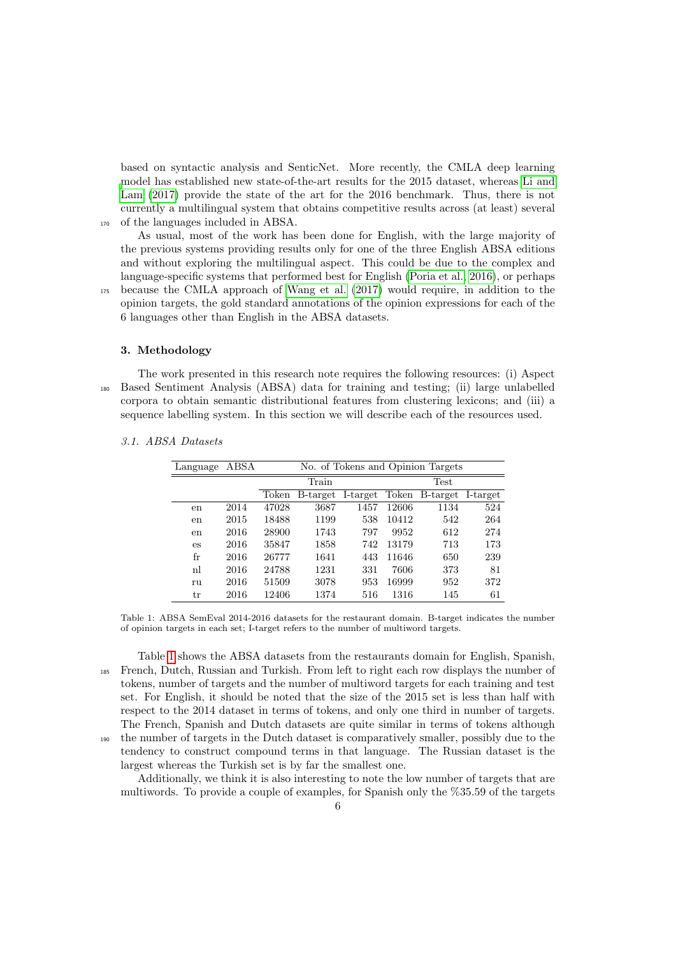based on syntactic analysis and SenticNet. More recently, the CMLA deep learning [m](#page-16-17)odel has established new state-of-the-art results for the 2015 dataset, whereas [Li and](#page-16-17) [Lam](#page-16-17) [\(2017\)](#page-16-17) provide the state of the art for the 2016 benchmark. Thus, there is not currently a multilingual system that obtains competitive results across (at least) several <sup>170</sup> of the languages included in ABSA.

As usual, most of the work has been done for English, with the large majority of the previous systems providing results only for one of the three English ABSA editions and without exploring the multilingual aspect. This could be due to the complex and language-specific systems that performed best for English [\(Poria et al., 2016\)](#page-16-15), or perhaps <sup>175</sup> because the CMLA approach of [Wang et al.](#page-17-2) [\(2017\)](#page-17-2) would require, in addition to the opinion targets, the gold standard annotations of the opinion expressions for each of the 6 languages other than English in the ABSA datasets.

#### 3. Methodology

The work presented in this research note requires the following resources: (i) Aspect <sup>180</sup> Based Sentiment Analysis (ABSA) data for training and testing; (ii) large unlabelled corpora to obtain semantic distributional features from clustering lexicons; and (iii) a sequence labelling system. In this section we will describe each of the resources used.

|  | 3.1. ABSA Datasets |  |
|--|--------------------|--|
|  |                    |  |

| Language | ABSA |       | No. of Tokens and Opinion Targets |          |       |                         |     |  |  |
|----------|------|-------|-----------------------------------|----------|-------|-------------------------|-----|--|--|
|          |      |       | Train                             |          |       | Test                    |     |  |  |
|          |      | Token | B-target                          | I-target |       | Token B-target I-target |     |  |  |
| en       | 2014 | 47028 | 3687                              | 1457     | 12606 | 1134                    | 524 |  |  |
| en       | 2015 | 18488 | 1199                              | 538      | 10412 | 542                     | 264 |  |  |
| en       | 2016 | 28900 | 1743                              | 797      | 9952  | 612                     | 274 |  |  |
| es       | 2016 | 35847 | 1858                              | 742      | 13179 | 713                     | 173 |  |  |
| fr       | 2016 | 26777 | 1641                              | 443      | 11646 | 650                     | 239 |  |  |
| nl       | 2016 | 24788 | 1231                              | 331      | 7606  | 373                     | 81  |  |  |
| ru       | 2016 | 51509 | 3078                              | 953      | 16999 | 952                     | 372 |  |  |
| tr       | 2016 | 12406 | 1374                              | 516      | 1316  | 145                     | 61  |  |  |

<span id="page-5-0"></span>Table 1: ABSA SemEval 2014-2016 datasets for the restaurant domain. B-target indicates the number of opinion targets in each set; I-target refers to the number of multiword targets.

Table [1](#page-5-0) shows the ABSA datasets from the restaurants domain for English, Spanish, <sup>185</sup> French, Dutch, Russian and Turkish. From left to right each row displays the number of tokens, number of targets and the number of multiword targets for each training and test set. For English, it should be noted that the size of the 2015 set is less than half with respect to the 2014 dataset in terms of tokens, and only one third in number of targets. The French, Spanish and Dutch datasets are quite similar in terms of tokens although <sup>190</sup> the number of targets in the Dutch dataset is comparatively smaller, possibly due to the tendency to construct compound terms in that language. The Russian dataset is the largest whereas the Turkish set is by far the smallest one.

Additionally, we think it is also interesting to note the low number of targets that are multiwords. To provide a couple of examples, for Spanish only the %35.59 of the targets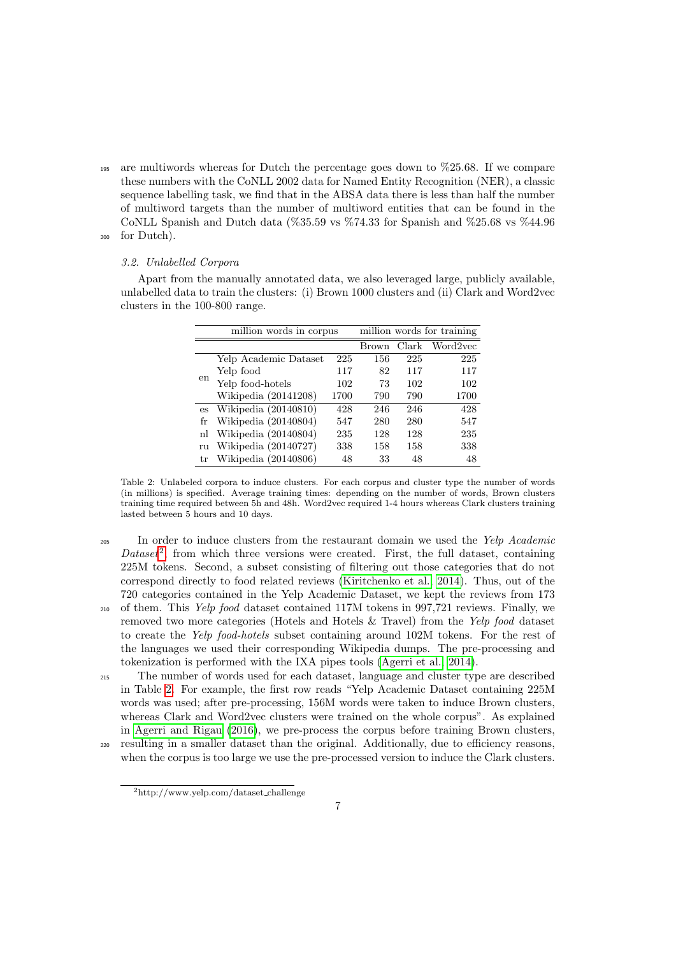<sup>195</sup> are multiwords whereas for Dutch the percentage goes down to %25.68. If we compare these numbers with the CoNLL 2002 data for Named Entity Recognition (NER), a classic sequence labelling task, we find that in the ABSA data there is less than half the number of multiword targets than the number of multiword entities that can be found in the CoNLL Spanish and Dutch data (%35.59 vs %74.33 for Spanish and %25.68 vs %44.96 <sup>200</sup> for Dutch).

#### 3.2. Unlabelled Corpora

Apart from the manually annotated data, we also leveraged large, publicly available, unlabelled data to train the clusters: (i) Brown 1000 clusters and (ii) Clark and Word2vec clusters in the 100-800 range.

|             | million words in corpus |      |              |       | million words for training |
|-------------|-------------------------|------|--------------|-------|----------------------------|
|             |                         |      | <b>Brown</b> | Clark | Word2vec                   |
|             | Yelp Academic Dataset   | 225  | 156          | 225   | 225                        |
|             | Yelp food               | 117  | 82           | 117   | 117                        |
| $_{\rm en}$ | Yelp food-hotels        | 102  | 73           | 102   | 102                        |
|             | Wikipedia (20141208)    | 1700 | 790          | 790   | 1700                       |
| es          | Wikipedia $(20140810)$  | 428  | 246          | 246   | 428                        |
| fr          | Wikipedia (20140804)    | 547  | 280          | 280   | 547                        |
| nl          | Wikipedia (20140804)    | 235  | 128          | 128   | 235                        |
| ru          | Wikipedia (20140727)    | 338  | 158          | 158   | 338                        |
| tr          | Wikipedia (20140806)    | 48   | 33           | 48    | 48                         |

<span id="page-6-1"></span>Table 2: Unlabeled corpora to induce clusters. For each corpus and cluster type the number of words (in millions) is specified. Average training times: depending on the number of words, Brown clusters training time required between 5h and 48h. Word2vec required 1-4 hours whereas Clark clusters training lasted between 5 hours and 10 days.

<sup>205</sup> In order to induce clusters from the restaurant domain we used the *Yelp Academic*  $Database<sup>2</sup>$  $Database<sup>2</sup>$  $Database<sup>2</sup>$ , from which three versions were created. First, the full dataset, containing 225M tokens. Second, a subset consisting of filtering out those categories that do not correspond directly to food related reviews [\(Kiritchenko et al., 2014\)](#page-16-18). Thus, out of the 720 categories contained in the Yelp Academic Dataset, we kept the reviews from 173 <sup>210</sup> of them. This Yelp food dataset contained 117M tokens in 997,721 reviews. Finally, we removed two more categories (Hotels and Hotels & Travel) from the Yelp food dataset to create the Yelp food-hotels subset containing around 102M tokens. For the rest of the languages we used their corresponding Wikipedia dumps. The pre-processing and tokenization is performed with the IXA pipes tools [\(Agerri et al., 2014\)](#page-15-8).

<sup>215</sup> The number of words used for each dataset, language and cluster type are described in Table [2.](#page-6-1) For example, the first row reads "Yelp Academic Dataset containing 225M words was used; after pre-processing, 156M words were taken to induce Brown clusters, whereas Clark and Word2vec clusters were trained on the whole corpus". As explained in [Agerri and Rigau](#page-15-0) [\(2016\)](#page-15-0), we pre-process the corpus before training Brown clusters, <sup>220</sup> resulting in a smaller dataset than the original. Additionally, due to efficiency reasons,

when the corpus is too large we use the pre-processed version to induce the Clark clusters.

<span id="page-6-0"></span><sup>2</sup>http://www.yelp.com/dataset challenge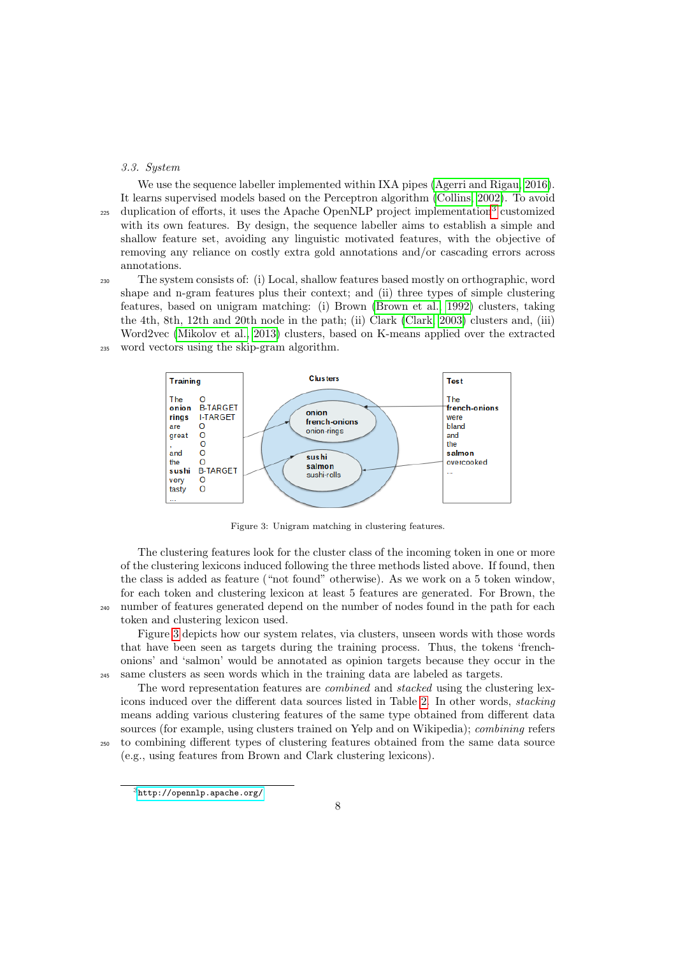#### <span id="page-7-2"></span>3.3. System

We use the sequence labeller implemented within IXA pipes [\(Agerri and Rigau, 2016\)](#page-15-0). It learns supervised models based on the Perceptron algorithm [\(Collins, 2002\)](#page-15-9). To avoid  $_{225}$  duplication of efforts, it uses the Apache OpenNLP project implementation<sup>[3](#page-7-0)</sup> customized with its own features. By design, the sequence labeller aims to establish a simple and shallow feature set, avoiding any linguistic motivated features, with the objective of removing any reliance on costly extra gold annotations and/or cascading errors across annotations.

<sup>230</sup> The system consists of: (i) Local, shallow features based mostly on orthographic, word shape and n-gram features plus their context; and (ii) three types of simple clustering features, based on unigram matching: (i) Brown [\(Brown et al., 1992\)](#page-15-10) clusters, taking the 4th, 8th, 12th and 20th node in the path; (ii) Clark [\(Clark, 2003\)](#page-15-11) clusters and, (iii) Word2vec [\(Mikolov et al., 2013\)](#page-16-19) clusters, based on K-means applied over the extracted <sup>235</sup> word vectors using the skip-gram algorithm.



<span id="page-7-1"></span>Figure 3: Unigram matching in clustering features.

The clustering features look for the cluster class of the incoming token in one or more of the clustering lexicons induced following the three methods listed above. If found, then the class is added as feature ("not found" otherwise). As we work on a 5 token window, for each token and clustering lexicon at least 5 features are generated. For Brown, the <sup>240</sup> number of features generated depend on the number of nodes found in the path for each token and clustering lexicon used.

Figure [3](#page-7-1) depicts how our system relates, via clusters, unseen words with those words that have been seen as targets during the training process. Thus, the tokens 'frenchonions' and 'salmon' would be annotated as opinion targets because they occur in the <sup>245</sup> same clusters as seen words which in the training data are labeled as targets.

The word representation features are combined and stacked using the clustering lexicons induced over the different data sources listed in Table [2.](#page-6-1) In other words, stacking means adding various clustering features of the same type obtained from different data sources (for example, using clusters trained on Yelp and on Wikipedia); combining refers <sup>250</sup> to combining different types of clustering features obtained from the same data source

(e.g., using features from Brown and Clark clustering lexicons).

<span id="page-7-0"></span> $3$ <http://opennlp.apache.org/>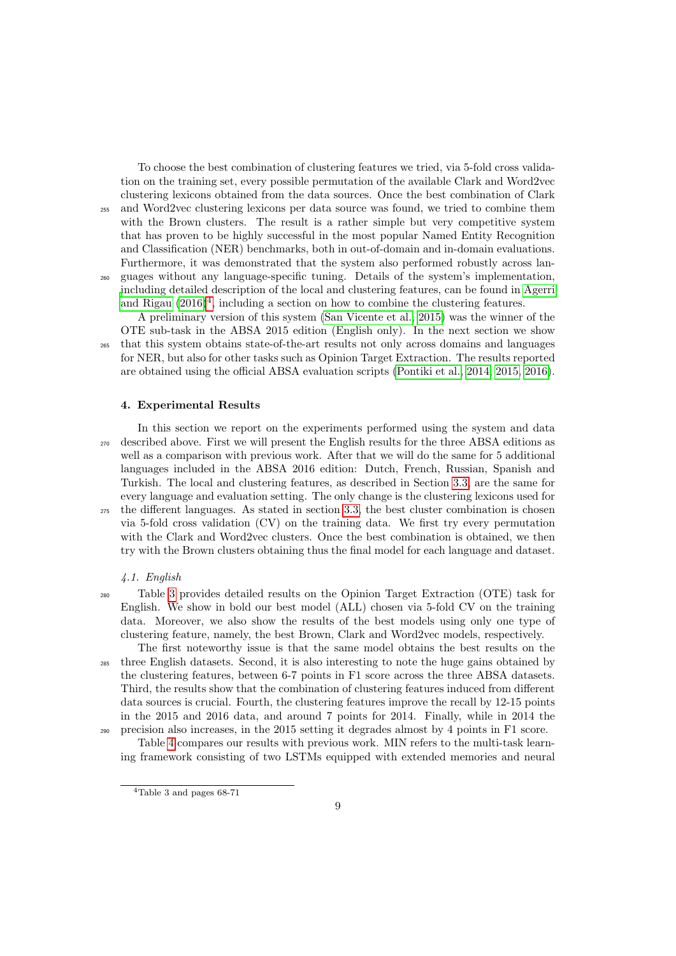To choose the best combination of clustering features we tried, via 5-fold cross validation on the training set, every possible permutation of the available Clark and Word2vec clustering lexicons obtained from the data sources. Once the best combination of Clark <sup>255</sup> and Word2vec clustering lexicons per data source was found, we tried to combine them with the Brown clusters. The result is a rather simple but very competitive system that has proven to be highly successful in the most popular Named Entity Recognition and Classification (NER) benchmarks, both in out-of-domain and in-domain evaluations. Furthermore, it was demonstrated that the system also performed robustly across lan-<sup>260</sup> guages without any language-specific tuning. Details of the system's implementation, [i](#page-15-0)ncluding detailed description of the local and clustering features, can be found in [Agerri](#page-15-0) [and Rigau](#page-15-0)  $(2016)^4$  $(2016)^4$  $(2016)^4$ , including a section on how to combine the clustering features.

A preliminary version of this system [\(San Vicente et al., 2015\)](#page-16-13) was the winner of the OTE sub-task in the ABSA 2015 edition (English only). In the next section we show <sup>265</sup> that this system obtains state-of-the-art results not only across domains and languages for NER, but also for other tasks such as Opinion Target Extraction. The results reported are obtained using the official ABSA evaluation scripts [\(Pontiki et al., 2014,](#page-16-4) [2015,](#page-16-5) [2016\)](#page-16-6).

### 4. Experimental Results

In this section we report on the experiments performed using the system and data <sup>270</sup> described above. First we will present the English results for the three ABSA editions as well as a comparison with previous work. After that we will do the same for 5 additional languages included in the ABSA 2016 edition: Dutch, French, Russian, Spanish and Turkish. The local and clustering features, as described in Section [3.3,](#page-7-2) are the same for every language and evaluation setting. The only change is the clustering lexicons used for  $275$  the different languages. As stated in section [3.3,](#page-7-2) the best cluster combination is chosen via 5-fold cross validation (CV) on the training data. We first try every permutation with the Clark and Word2vec clusters. Once the best combination is obtained, we then try with the Brown clusters obtaining thus the final model for each language and dataset.

# 4.1. English

<sup>280</sup> Table [3](#page-9-0) provides detailed results on the Opinion Target Extraction (OTE) task for English. We show in bold our best model (ALL) chosen via 5-fold CV on the training data. Moreover, we also show the results of the best models using only one type of clustering feature, namely, the best Brown, Clark and Word2vec models, respectively.

The first noteworthy issue is that the same model obtains the best results on the <sup>285</sup> three English datasets. Second, it is also interesting to note the huge gains obtained by the clustering features, between 6-7 points in F1 score across the three ABSA datasets. Third, the results show that the combination of clustering features induced from different data sources is crucial. Fourth, the clustering features improve the recall by 12-15 points in the 2015 and 2016 data, and around 7 points for 2014. Finally, while in 2014 the <sup>290</sup> precision also increases, in the 2015 setting it degrades almost by 4 points in F1 score.

Table [4](#page-9-1) compares our results with previous work. MIN refers to the multi-task learning framework consisting of two LSTMs equipped with extended memories and neural

<span id="page-8-0"></span> $4$ Table 3 and pages 68-71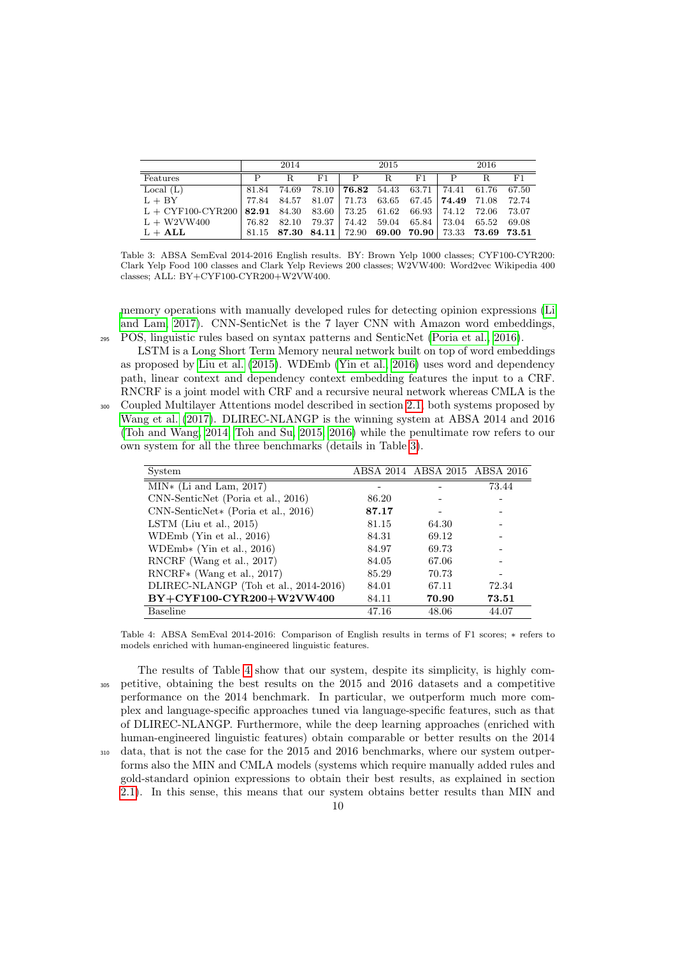|                                                                         |       | 2014  |               |   | 2015                                                    |     |   | 2016 |       |
|-------------------------------------------------------------------------|-------|-------|---------------|---|---------------------------------------------------------|-----|---|------|-------|
| Features                                                                |       | R.    | F1.           | P | R.                                                      | F1. | P | R.   | F1    |
| Local $(L)$                                                             | 81.84 | 74.69 |               |   | $78.10$   <b>76.82</b> 54.43 63.71   74.41 61.76        |     |   |      | 67.50 |
| $L + BY$                                                                | 77.84 | 84.57 |               |   | $81.07$ 71.73 63.65 67.45 74.49 71.08 72.74             |     |   |      |       |
| L + CYF100-CYR200   82.91 84.30 83.60   73.25 61.62 66.93   74.12 72.06 |       |       |               |   |                                                         |     |   |      | 73.07 |
| $L + W2VW400$                                                           | 76.82 | 82.10 | 79.37   74.42 |   | 59.04 65.84 73.04 65.52                                 |     |   |      | 69.08 |
| $L + ALL$                                                               |       |       |               |   | $81.15$ 87.30 84.11 72.90 69.00 70.90 73.33 73.69 73.51 |     |   |      |       |

<span id="page-9-0"></span>Table 3: ABSA SemEval 2014-2016 English results. BY: Brown Yelp 1000 classes; CYF100-CYR200: Clark Yelp Food 100 classes and Clark Yelp Reviews 200 classes; W2VW400: Word2vec Wikipedia 400 classes; ALL: BY+CYF100-CYR200+W2VW400.

[m](#page-16-17)emory operations with manually developed rules for detecting opinion expressions [\(Li](#page-16-17) [and Lam, 2017\)](#page-16-17). CNN-SenticNet is the 7 layer CNN with Amazon word embeddings, <sup>295</sup> POS, linguistic rules based on syntax patterns and SenticNet [\(Poria et al., 2016\)](#page-16-15).

LSTM is a Long Short Term Memory neural network built on top of word embeddings as proposed by [Liu et al.](#page-16-14) [\(2015\)](#page-16-14). WDEmb [\(Yin et al., 2016\)](#page-17-3) uses word and dependency path, linear context and dependency context embedding features the input to a CRF. RNCRF is a joint model with CRF and a recursive neural network whereas CMLA is the

<sup>300</sup> Coupled Multilayer Attentions model described in section [2.1,](#page-3-0) both systems proposed by [Wang et al.](#page-17-2) [\(2017\)](#page-17-2). DLIREC-NLANGP is the winning system at ABSA 2014 and 2016 [\(Toh and Wang, 2014;](#page-17-1) [Toh and Su, 2015,](#page-16-11) [2016\)](#page-16-12) while the penultimate row refers to our own system for all the three benchmarks (details in Table [3\)](#page-9-0).

| System                                |       | ABSA 2014 ABSA 2015 ABSA 2016 |       |
|---------------------------------------|-------|-------------------------------|-------|
| $MIN*$ (Li and Lam, 2017)             |       |                               | 73.44 |
| CNN-SenticNet (Poria et al., 2016)    | 86.20 |                               |       |
| CNN-SenticNet* (Poria et al., 2016)   | 87.17 |                               |       |
| LSTM (Liu et al., $2015$ )            | 81.15 | 64.30                         |       |
| WDEmb (Yin et al., $2016$ )           | 84.31 | 69.12                         |       |
| WDEmb* (Yin et al., 2016)             | 84.97 | 69.73                         |       |
| RNCRF (Wang et al., 2017)             | 84.05 | 67.06                         |       |
| $RNCRF*$ (Wang et al., 2017)          | 85.29 | 70.73                         |       |
| DLIREC-NLANGP (Toh et al., 2014-2016) | 84.01 | 67.11                         | 72.34 |
| BY+CYF100-CYR200+W2VW400              | 84.11 | 70.90                         | 73.51 |
| <b>Baseline</b>                       | 47.16 | 48.06                         | 44.07 |

<span id="page-9-1"></span>Table 4: ABSA SemEval 2014-2016: Comparison of English results in terms of F1 scores; ∗ refers to models enriched with human-engineered linguistic features.

The results of Table [4](#page-9-1) show that our system, despite its simplicity, is highly com-<sup>305</sup> petitive, obtaining the best results on the 2015 and 2016 datasets and a competitive performance on the 2014 benchmark. In particular, we outperform much more complex and language-specific approaches tuned via language-specific features, such as that of DLIREC-NLANGP. Furthermore, while the deep learning approaches (enriched with human-engineered linguistic features) obtain comparable or better results on the 2014 <sup>310</sup> data, that is not the case for the 2015 and 2016 benchmarks, where our system outperforms also the MIN and CMLA models (systems which require manually added rules and gold-standard opinion expressions to obtain their best results, as explained in section [2.1\)](#page-3-0). In this sense, this means that our system obtains better results than MIN and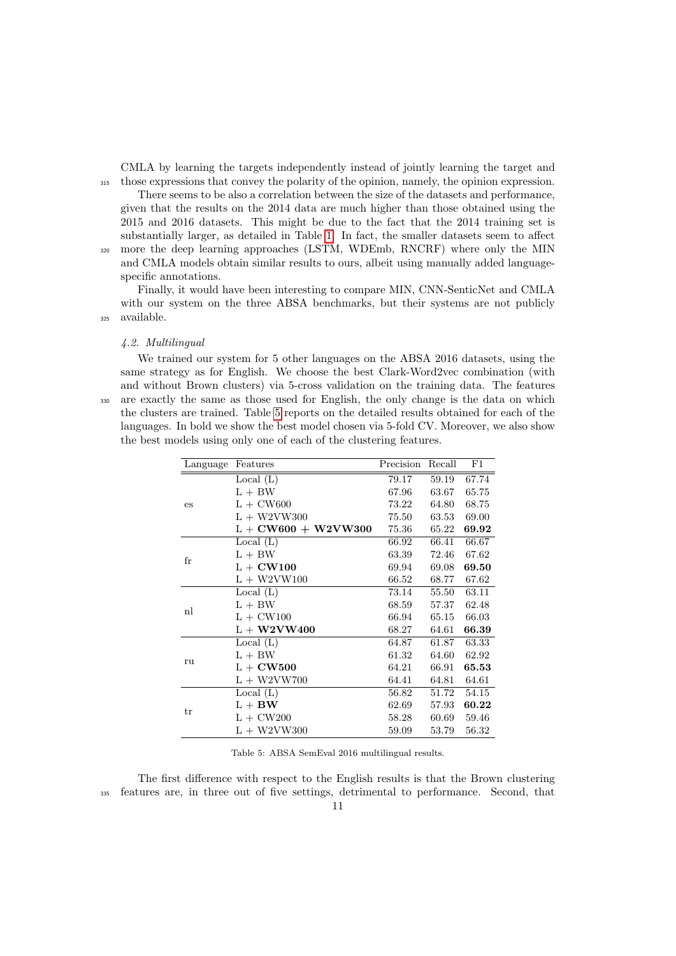CMLA by learning the targets independently instead of jointly learning the target and <sup>315</sup> those expressions that convey the polarity of the opinion, namely, the opinion expression.

There seems to be also a correlation between the size of the datasets and performance, given that the results on the 2014 data are much higher than those obtained using the 2015 and 2016 datasets. This might be due to the fact that the 2014 training set is substantially larger, as detailed in Table [1.](#page-5-0) In fact, the smaller datasets seem to affect <sup>320</sup> more the deep learning approaches (LSTM, WDEmb, RNCRF) where only the MIN and CMLA models obtain similar results to ours, albeit using manually added languagespecific annotations.

Finally, it would have been interesting to compare MIN, CNN-SenticNet and CMLA with our system on the three ABSA benchmarks, but their systems are not publicly <sup>325</sup> available.

#### 4.2. Multilingual

We trained our system for 5 other languages on the ABSA 2016 datasets, using the same strategy as for English. We choose the best Clark-Word2vec combination (with and without Brown clusters) via 5-cross validation on the training data. The features <sup>330</sup> are exactly the same as those used for English, the only change is the data on which the clusters are trained. Table [5](#page-10-0) reports on the detailed results obtained for each of the languages. In bold we show the best model chosen via 5-fold CV. Moreover, we also show the best models using only one of each of the clustering features.

|                                                                                                                                                                                                                                                                                                                                                                                                                                                                                                                                                   | Features  | Precision | Recall | $_{\rm F1}$ |
|---------------------------------------------------------------------------------------------------------------------------------------------------------------------------------------------------------------------------------------------------------------------------------------------------------------------------------------------------------------------------------------------------------------------------------------------------------------------------------------------------------------------------------------------------|-----------|-----------|--------|-------------|
|                                                                                                                                                                                                                                                                                                                                                                                                                                                                                                                                                   | Local (L) | 79.17     | 59.19  | 67.74       |
| Language<br>$L + BW$<br>67.96<br>$L + CW600$<br>73.22<br>es<br>$L + W2VW300$<br>75.50<br>$L + CW600 + W2VW300$<br>75.36<br>Local $(L)$<br>66.92<br>$L + BW$<br>63.39<br>fr<br>$L + CW100$<br>69.94<br>$L + W2VW100$<br>66.52<br>Local (L)<br>73.14<br>$L + BW$<br>68.59<br>n<br>$L + CW100$<br>66.94<br>$\mathrm{L}$ + W2VW400<br>68.27<br>Local $(L)$<br>64.87<br>$L + BW$<br>61.32<br>ru<br>$L + CW500$<br>64.21<br>$L + W2VW700$<br>64.41<br>Local $(L)$<br>56.82<br>$L + BW$<br>62.69<br>tr<br>$L + CW200$<br>58.28<br>$L + W2VW300$<br>59.09 | 63.67     | 65.75     |        |             |
|                                                                                                                                                                                                                                                                                                                                                                                                                                                                                                                                                   |           |           | 64.80  | 68.75       |
|                                                                                                                                                                                                                                                                                                                                                                                                                                                                                                                                                   |           |           | 63.53  | 69.00       |
|                                                                                                                                                                                                                                                                                                                                                                                                                                                                                                                                                   |           |           | 65.22  | 69.92       |
|                                                                                                                                                                                                                                                                                                                                                                                                                                                                                                                                                   |           |           | 66.41  | 66.67       |
|                                                                                                                                                                                                                                                                                                                                                                                                                                                                                                                                                   |           |           | 72.46  | 67.62       |
|                                                                                                                                                                                                                                                                                                                                                                                                                                                                                                                                                   |           |           | 69.08  | 69.50       |
|                                                                                                                                                                                                                                                                                                                                                                                                                                                                                                                                                   |           |           | 68.77  | 67.62       |
|                                                                                                                                                                                                                                                                                                                                                                                                                                                                                                                                                   |           |           | 55.50  | 63.11       |
|                                                                                                                                                                                                                                                                                                                                                                                                                                                                                                                                                   |           |           | 57.37  | 62.48       |
|                                                                                                                                                                                                                                                                                                                                                                                                                                                                                                                                                   |           |           | 65.15  | 66.03       |
|                                                                                                                                                                                                                                                                                                                                                                                                                                                                                                                                                   |           |           | 64.61  | 66.39       |
|                                                                                                                                                                                                                                                                                                                                                                                                                                                                                                                                                   |           |           | 61.87  | 63.33       |
|                                                                                                                                                                                                                                                                                                                                                                                                                                                                                                                                                   |           |           | 64.60  | 62.92       |
|                                                                                                                                                                                                                                                                                                                                                                                                                                                                                                                                                   |           |           | 66.91  | 65.53       |
|                                                                                                                                                                                                                                                                                                                                                                                                                                                                                                                                                   |           |           | 64.81  | 64.61       |
|                                                                                                                                                                                                                                                                                                                                                                                                                                                                                                                                                   |           |           | 51.72  | 54.15       |
|                                                                                                                                                                                                                                                                                                                                                                                                                                                                                                                                                   |           |           | 57.93  | 60.22       |
|                                                                                                                                                                                                                                                                                                                                                                                                                                                                                                                                                   |           |           | 60.69  | 59.46       |
|                                                                                                                                                                                                                                                                                                                                                                                                                                                                                                                                                   |           |           | 53.79  | 56.32       |

<span id="page-10-0"></span>Table 5: ABSA SemEval 2016 multilingual results.

The first difference with respect to the English results is that the Brown clustering <sup>335</sup> features are, in three out of five settings, detrimental to performance. Second, that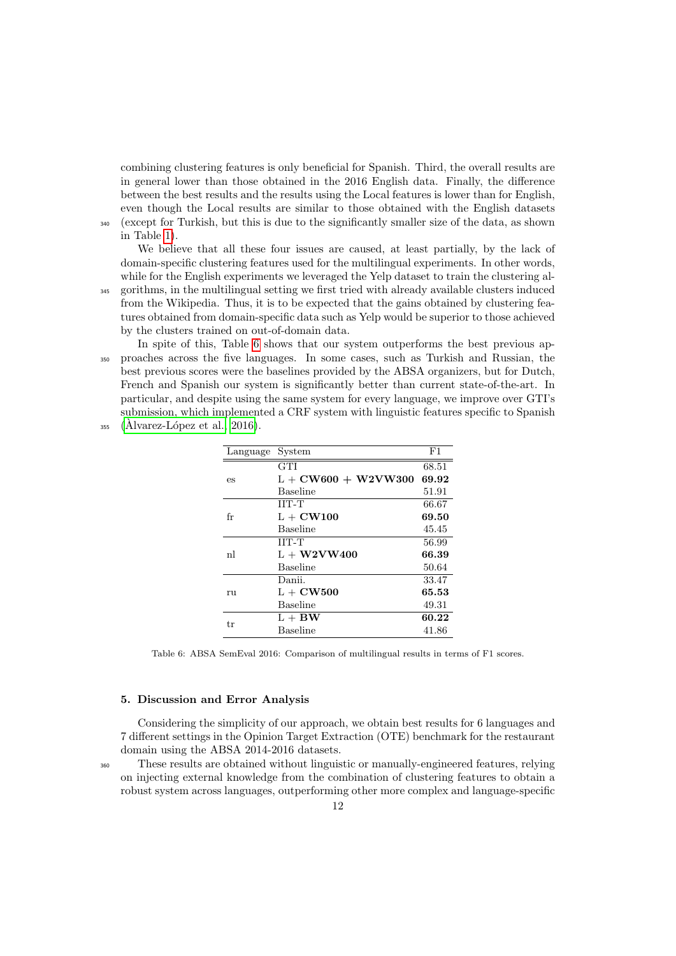combining clustering features is only beneficial for Spanish. Third, the overall results are in general lower than those obtained in the 2016 English data. Finally, the difference between the best results and the results using the Local features is lower than for English, even though the Local results are similar to those obtained with the English datasets <sup>340</sup> (except for Turkish, but this is due to the significantly smaller size of the data, as shown

in Table [1\)](#page-5-0).

We believe that all these four issues are caused, at least partially, by the lack of domain-specific clustering features used for the multilingual experiments. In other words, while for the English experiments we leveraged the Yelp dataset to train the clustering al-

- <sup>345</sup> gorithms, in the multilingual setting we first tried with already available clusters induced from the Wikipedia. Thus, it is to be expected that the gains obtained by clustering features obtained from domain-specific data such as Yelp would be superior to those achieved by the clusters trained on out-of-domain data.
- In spite of this, Table [6](#page-11-0) shows that our system outperforms the best previous ap-<sup>350</sup> proaches across the five languages. In some cases, such as Turkish and Russian, the best previous scores were the baselines provided by the ABSA organizers, but for Dutch, French and Spanish our system is significantly better than current state-of-the-art. In particular, and despite using the same system for every language, we improve over GTI's submission, which implemented a CRF system with linguistic features specific to Spanish
- $355$  (Alvarez-López et al., 2016).

| Language | System                | F1    |
|----------|-----------------------|-------|
|          | <b>GTI</b>            | 68.51 |
| es       | $L + CW600 + W2VW300$ | 69.92 |
|          | Baseline              | 51.91 |
|          | <b>IIT-T</b>          | 66.67 |
| fr       | $L + CW100$           | 69.50 |
|          | Baseline              | 45.45 |
|          | $IIT-T$               | 56.99 |
| nl       | $L + W2VW400$         | 66.39 |
|          | <b>Baseline</b>       | 50.64 |
|          | Danii.                | 33.47 |
| ru       | $L + CW500$           | 65.53 |
|          | Baseline              | 49.31 |
| tr       | $L + BW$              | 60.22 |
|          | Baseline              | 41.86 |
|          |                       |       |

<span id="page-11-0"></span>Table 6: ABSA SemEval 2016: Comparison of multilingual results in terms of F1 scores.

### 5. Discussion and Error Analysis

Considering the simplicity of our approach, we obtain best results for 6 languages and 7 different settings in the Opinion Target Extraction (OTE) benchmark for the restaurant domain using the ABSA 2014-2016 datasets.

<sup>360</sup> These results are obtained without linguistic or manually-engineered features, relying on injecting external knowledge from the combination of clustering features to obtain a robust system across languages, outperforming other more complex and language-specific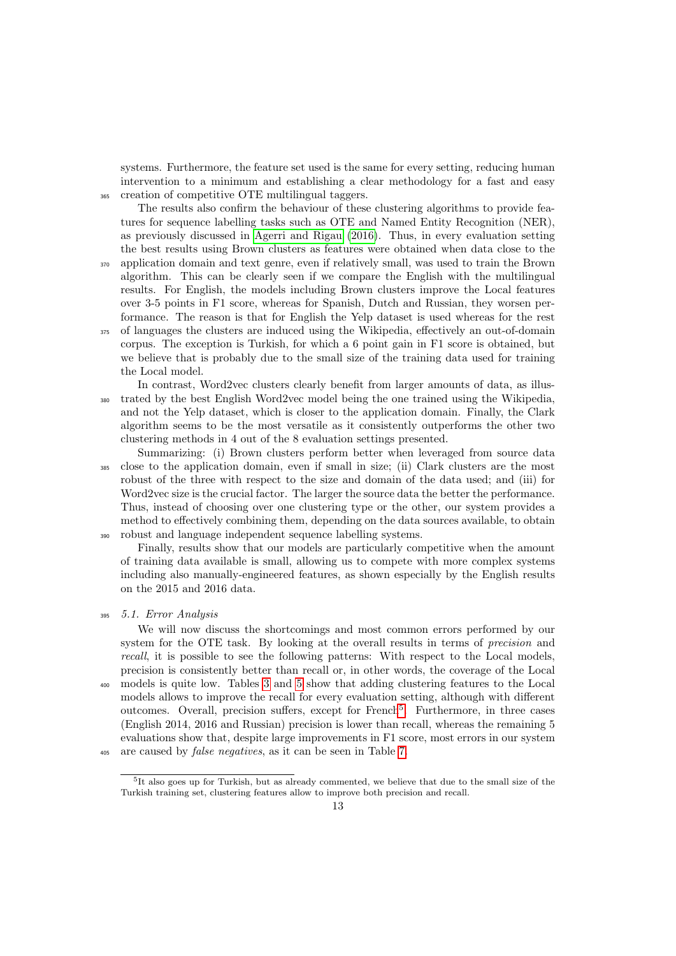systems. Furthermore, the feature set used is the same for every setting, reducing human intervention to a minimum and establishing a clear methodology for a fast and easy <sup>365</sup> creation of competitive OTE multilingual taggers.

The results also confirm the behaviour of these clustering algorithms to provide features for sequence labelling tasks such as OTE and Named Entity Recognition (NER), as previously discussed in [Agerri and Rigau](#page-15-0) [\(2016\)](#page-15-0). Thus, in every evaluation setting the best results using Brown clusters as features were obtained when data close to the <sup>370</sup> application domain and text genre, even if relatively small, was used to train the Brown algorithm. This can be clearly seen if we compare the English with the multilingual results. For English, the models including Brown clusters improve the Local features over 3-5 points in F1 score, whereas for Spanish, Dutch and Russian, they worsen performance. The reason is that for English the Yelp dataset is used whereas for the rest <sup>375</sup> of languages the clusters are induced using the Wikipedia, effectively an out-of-domain corpus. The exception is Turkish, for which a 6 point gain in F1 score is obtained, but we believe that is probably due to the small size of the training data used for training the Local model.

In contrast, Word2vec clusters clearly benefit from larger amounts of data, as illus-<sup>380</sup> trated by the best English Word2vec model being the one trained using the Wikipedia, and not the Yelp dataset, which is closer to the application domain. Finally, the Clark algorithm seems to be the most versatile as it consistently outperforms the other two clustering methods in 4 out of the 8 evaluation settings presented.

Summarizing: (i) Brown clusters perform better when leveraged from source data <sup>385</sup> close to the application domain, even if small in size; (ii) Clark clusters are the most robust of the three with respect to the size and domain of the data used; and (iii) for Word2vec size is the crucial factor. The larger the source data the better the performance. Thus, instead of choosing over one clustering type or the other, our system provides a method to effectively combining them, depending on the data sources available, to obtain <sup>390</sup> robust and language independent sequence labelling systems.

Finally, results show that our models are particularly competitive when the amount of training data available is small, allowing us to compete with more complex systems including also manually-engineered features, as shown especially by the English results on the 2015 and 2016 data.

We will now discuss the shortcomings and most common errors performed by our system for the OTE task. By looking at the overall results in terms of precision and recall, it is possible to see the following patterns: With respect to the Local models, precision is consistently better than recall or, in other words, the coverage of the Local <sup>400</sup> models is quite low. Tables [3](#page-9-0) and [5](#page-10-0) show that adding clustering features to the Local models allows to improve the recall for every evaluation setting, although with different outcomes. Overall, precision suffers, except for French<sup>[5](#page-12-0)</sup>. Furthermore, in three cases (English 2014, 2016 and Russian) precision is lower than recall, whereas the remaining 5 evaluations show that, despite large improvements in F1 score, most errors in our system <sup>405</sup> are caused by false negatives, as it can be seen in Table [7.](#page-13-0)

<sup>395</sup> 5.1. Error Analysis

<span id="page-12-0"></span><sup>&</sup>lt;sup>5</sup>It also goes up for Turkish, but as already commented, we believe that due to the small size of the Turkish training set, clustering features allow to improve both precision and recall.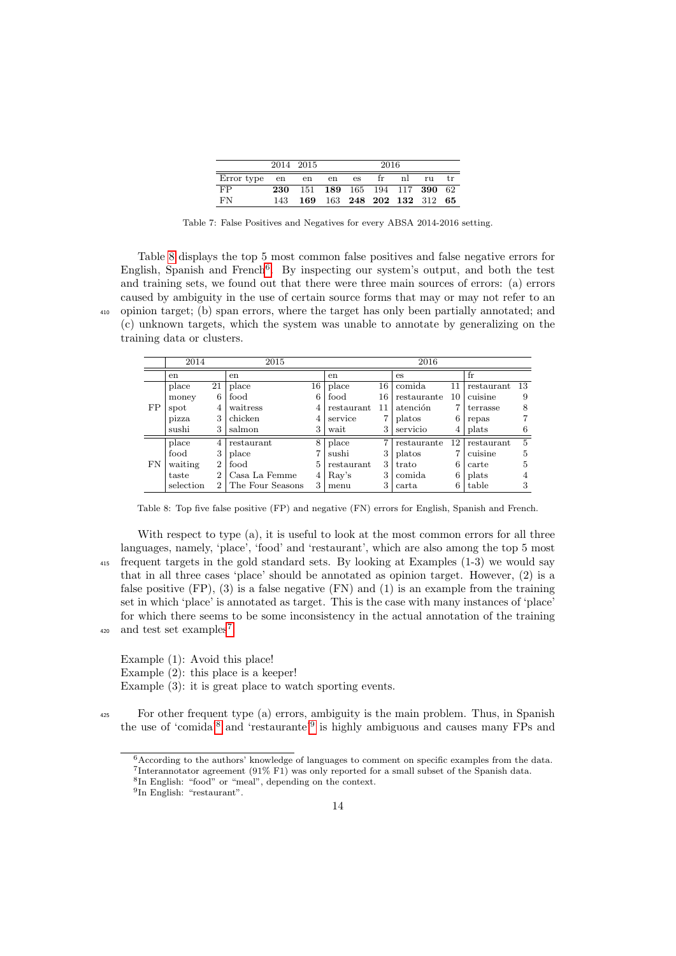|                     |     | 2014 2015                  | 2016 |    |                            |   |          |    |
|---------------------|-----|----------------------------|------|----|----------------------------|---|----------|----|
| Error type en en en |     |                            |      | es | $\mathbf{r}$               | n | $r_{11}$ | tr |
| FP.                 | 230 | 151 189 165 194 117 390 62 |      |    |                            |   |          |    |
| FN                  | 143 |                            |      |    | 169 163 248 202 132 312 65 |   |          |    |

<span id="page-13-0"></span>Table 7: False Positives and Negatives for every ABSA 2014-2016 setting.

Table [8](#page-13-1) displays the top 5 most common false positives and false negative errors for English, Spanish and French<sup>[6](#page-13-2)</sup>. By inspecting our system's output, and both the test and training sets, we found out that there were three main sources of errors: (a) errors caused by ambiguity in the use of certain source forms that may or may not refer to an <sup>410</sup> opinion target; (b) span errors, where the target has only been partially annotated; and (c) unknown targets, which the system was unable to annotate by generalizing on the training data or clusters.

|    | 2014      |                | 2015             |    | 2016         |    |             |    |            |                |  |
|----|-----------|----------------|------------------|----|--------------|----|-------------|----|------------|----------------|--|
|    | en        |                | en               |    | en           |    | es          |    | $f_{r}$    |                |  |
|    | place     | 21             | place            | 16 | place        | 16 | comida      | 11 | restaurant | 13             |  |
|    | money     | 6              | food             | 6  | food         | 16 | restaurante | 10 | cuisine    | 9              |  |
| FP | spot      | 4              | waitress         | 4  | restaurant   | 11 | atención    | 7  | terrasse   | 8              |  |
|    | pizza     | 3              | chicken          | 4  | service      |    | platos      | 6  | repas      | 7              |  |
|    | sushi     | 3              | salmon           | 3  | wait         | 3  | servicio    | 4  | plats      | 6              |  |
|    | place     | 4              | restaurant       | 8  | place        |    | restaurante | 12 | restaurant | $\overline{5}$ |  |
|    | food      | 3              | place            | ⇁  | sushi        | 3  | platos      | 7  | cuisine    | 5              |  |
| FN | waiting   | $\overline{2}$ | food             | 5  | restaurant   | 3  | trato       | 6  | carte      | 5              |  |
|    | taste     | $\overline{2}$ | Casa La Femme    | 4  | $\rm{Rav's}$ | 3  | comida      | 6  | plats      | 4              |  |
|    | selection | $\overline{2}$ | The Four Seasons | 3  | menu         | 3  | carta       | 6  | table      | 3              |  |

<span id="page-13-1"></span>Table 8: Top five false positive (FP) and negative (FN) errors for English, Spanish and French.

With respect to type (a), it is useful to look at the most common errors for all three languages, namely, 'place', 'food' and 'restaurant', which are also among the top 5 most <sup>415</sup> frequent targets in the gold standard sets. By looking at Examples (1-3) we would say that in all three cases 'place' should be annotated as opinion target. However, (2) is a false positive  $(FP)$ ,  $(3)$  is a false negative  $(FN)$  and  $(1)$  is an example from the training set in which 'place' is annotated as target. This is the case with many instances of 'place' for which there seems to be some inconsistency in the actual annotation of the training  $_{420}$  and test set examples<sup>[7](#page-13-3)</sup>.

Example (1): Avoid this place! Example (2): this place is a keeper! Example (3): it is great place to watch sporting events.

<sup>425</sup> For other frequent type (a) errors, ambiguity is the main problem. Thus, in Spanish the use of 'comida'<sup>[8](#page-13-4)</sup> and 'restaurante'<sup>[9](#page-13-5)</sup> is highly ambiguous and causes many FPs and

<span id="page-13-3"></span><span id="page-13-2"></span> $6$ According to the authors' knowledge of languages to comment on specific examples from the data. 7 Interannotator agreement (91% F1) was only reported for a small subset of the Spanish data.

<span id="page-13-4"></span><sup>8</sup> In English: "food" or "meal", depending on the context.

<span id="page-13-5"></span><sup>9</sup> In English: "restaurant".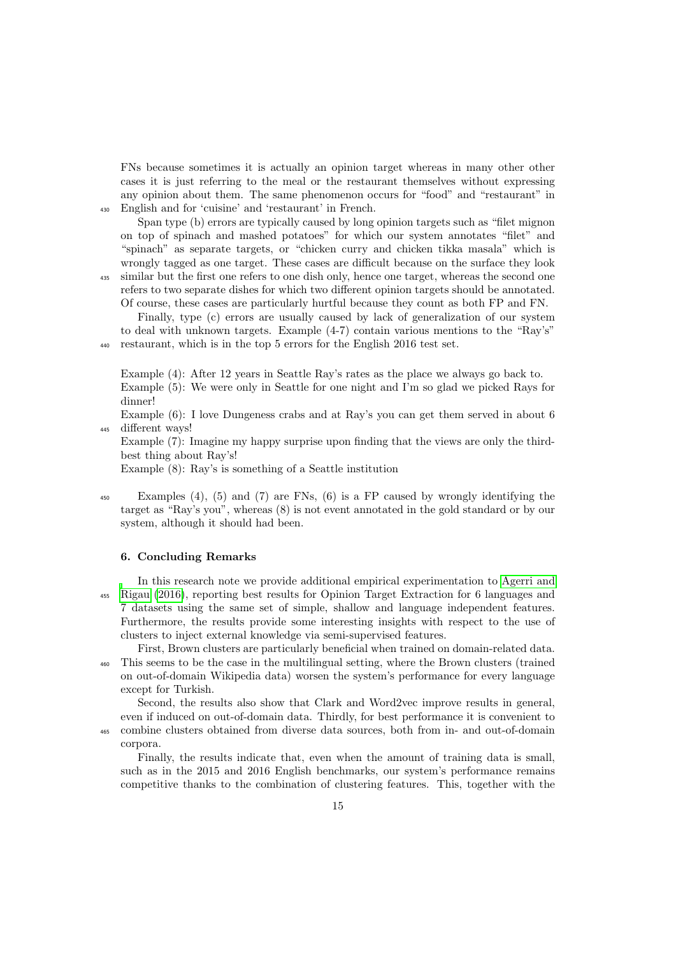FNs because sometimes it is actually an opinion target whereas in many other other cases it is just referring to the meal or the restaurant themselves without expressing any opinion about them. The same phenomenon occurs for "food" and "restaurant" in <sup>430</sup> English and for 'cuisine' and 'restaurant' in French.

Span type (b) errors are typically caused by long opinion targets such as "filet mignon on top of spinach and mashed potatoes" for which our system annotates "filet" and "spinach" as separate targets, or "chicken curry and chicken tikka masala" which is wrongly tagged as one target. These cases are difficult because on the surface they look

<sup>435</sup> similar but the first one refers to one dish only, hence one target, whereas the second one refers to two separate dishes for which two different opinion targets should be annotated. Of course, these cases are particularly hurtful because they count as both FP and FN.

Finally, type (c) errors are usually caused by lack of generalization of our system to deal with unknown targets. Example (4-7) contain various mentions to the "Ray's" <sup>440</sup> restaurant, which is in the top 5 errors for the English 2016 test set.

Example (4): After 12 years in Seattle Ray's rates as the place we always go back to. Example (5): We were only in Seattle for one night and I'm so glad we picked Rays for dinner!

Example (6): I love Dungeness crabs and at Ray's you can get them served in about 6 <sup>445</sup> different ways!

Example (7): Imagine my happy surprise upon finding that the views are only the thirdbest thing about Ray's!

Example (8): Ray's is something of a Seattle institution

<sup>450</sup> Examples (4), (5) and (7) are FNs, (6) is a FP caused by wrongly identifying the target as "Ray's you", whereas (8) is not event annotated in the gold standard or by our system, although it should had been.

#### 6. Concluding Remarks

In this research note we provide additional empirical experimentation to [Agerri and](#page-15-0) <sup>455</sup> [Rigau](#page-15-0) [\(2016\)](#page-15-0), reporting best results for Opinion Target Extraction for 6 languages and 7 datasets using the same set of simple, shallow and language independent features. Furthermore, the results provide some interesting insights with respect to the use of clusters to inject external knowledge via semi-supervised features.

First, Brown clusters are particularly beneficial when trained on domain-related data. <sup>460</sup> This seems to be the case in the multilingual setting, where the Brown clusters (trained on out-of-domain Wikipedia data) worsen the system's performance for every language except for Turkish.

Second, the results also show that Clark and Word2vec improve results in general, even if induced on out-of-domain data. Thirdly, for best performance it is convenient to

<sup>465</sup> combine clusters obtained from diverse data sources, both from in- and out-of-domain corpora.

Finally, the results indicate that, even when the amount of training data is small, such as in the 2015 and 2016 English benchmarks, our system's performance remains competitive thanks to the combination of clustering features. This, together with the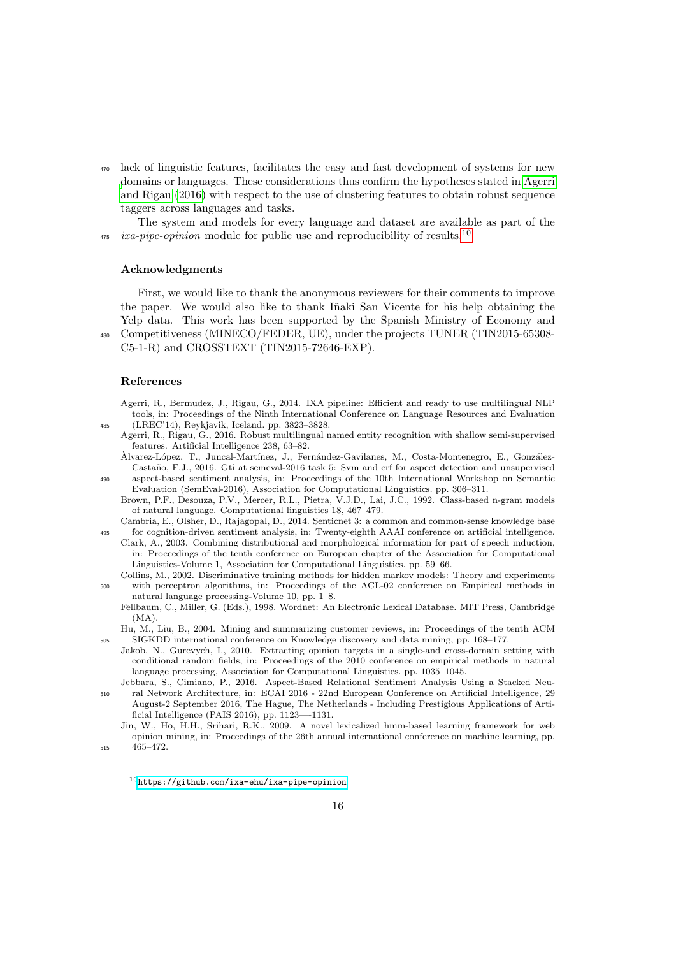<sup>470</sup> lack of linguistic features, facilitates the easy and fast development of systems for new [d](#page-15-0)omains or languages. These considerations thus confirm the hypotheses stated in [Agerri](#page-15-0) [and Rigau](#page-15-0) [\(2016\)](#page-15-0) with respect to the use of clustering features to obtain robust sequence taggers across languages and tasks.

The system and models for every language and dataset are available as part of the *ixa-pipe-opinion* module for public use and reproducibility of results.<sup>[10](#page-15-12)</sup> 475

#### Acknowledgments

First, we would like to thank the anonymous reviewers for their comments to improve the paper. We would also like to thank Iñaki San Vicente for his help obtaining the Yelp data. This work has been supported by the Spanish Ministry of Economy and <sup>480</sup> Competitiveness (MINECO/FEDER, UE), under the projects TUNER (TIN2015-65308- C5-1-R) and CROSSTEXT (TIN2015-72646-EXP).

#### References

- <span id="page-15-8"></span>Agerri, R., Bermudez, J., Rigau, G., 2014. IXA pipeline: Efficient and ready to use multilingual NLP tools, in: Proceedings of the Ninth International Conference on Language Resources and Evaluation <sup>485</sup> (LREC'14), Reykjavik, Iceland. pp. 3823–3828.
	- Agerri, R., Rigau, G., 2016. Robust multilingual named entity recognition with shallow semi-supervised features. Artificial Intelligence 238, 63–82.
- <span id="page-15-7"></span><span id="page-15-0"></span>Alvarez-L´opez, T., Juncal-Mart´ınez, J., Fern´andez-Gavilanes, M., Costa-Montenegro, E., Gonz´alez- ` Castaño, F.J., 2016. Gti at semeval-2016 task 5: Svm and crf for aspect detection and unsupervised <sup>490</sup> aspect-based sentiment analysis, in: Proceedings of the 10th International Workshop on Semantic Evaluation (SemEval-2016), Association for Computational Linguistics. pp. 306–311.
	- Brown, P.F., Desouza, P.V., Mercer, R.L., Pietra, V.J.D., Lai, J.C., 1992. Class-based n-gram models of natural language. Computational linguistics 18, 467–479.
- <span id="page-15-10"></span><span id="page-15-6"></span>Cambria, E., Olsher, D., Rajagopal, D., 2014. Senticnet 3: a common and common-sense knowledge base <sup>495</sup> for cognition-driven sentiment analysis, in: Twenty-eighth AAAI conference on artificial intelligence.
- <span id="page-15-11"></span>Clark, A., 2003. Combining distributional and morphological information for part of speech induction, in: Proceedings of the tenth conference on European chapter of the Association for Computational Linguistics-Volume 1, Association for Computational Linguistics. pp. 59–66.
- <span id="page-15-9"></span>Collins, M., 2002. Discriminative training methods for hidden markov models: Theory and experiments <sup>500</sup> with perceptron algorithms, in: Proceedings of the ACL-02 conference on Empirical methods in natural language processing-Volume 10, pp. 1–8.
	- Fellbaum, C., Miller, G. (Eds.), 1998. Wordnet: An Electronic Lexical Database. MIT Press, Cambridge  $(MA)$ .

<span id="page-15-4"></span><span id="page-15-1"></span>Hu, M., Liu, B., 2004. Mining and summarizing customer reviews, in: Proceedings of the tenth ACM <sup>505</sup> SIGKDD international conference on Knowledge discovery and data mining, pp. 168–177.

- <span id="page-15-3"></span>Jakob, N., Gurevych, I., 2010. Extracting opinion targets in a single-and cross-domain setting with conditional random fields, in: Proceedings of the 2010 conference on empirical methods in natural language processing, Association for Computational Linguistics. pp. 1035–1045.
- <span id="page-15-5"></span>Jebbara, S., Cimiano, P., 2016. Aspect-Based Relational Sentiment Analysis Using a Stacked Neu-<sup>510</sup> ral Network Architecture, in: ECAI 2016 - 22nd European Conference on Artificial Intelligence, 29 August-2 September 2016, The Hague, The Netherlands - Including Prestigious Applications of Artificial Intelligence (PAIS 2016), pp. 1123—-1131.
- <span id="page-15-2"></span>Jin, W., Ho, H.H., Srihari, R.K., 2009. A novel lexicalized hmm-based learning framework for web opinion mining, in: Proceedings of the 26th annual international conference on machine learning, pp. <sup>515</sup> 465–472.

<span id="page-15-12"></span> $10$ <https://github.com/ixa-ehu/ixa-pipe-opinion>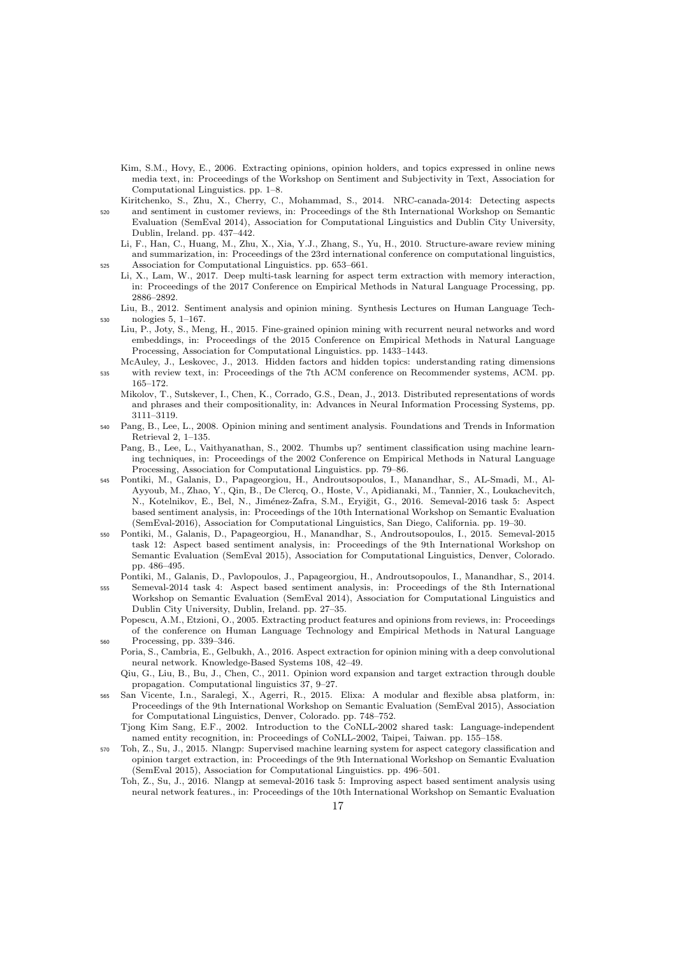- <span id="page-16-8"></span>Kim, S.M., Hovy, E., 2006. Extracting opinions, opinion holders, and topics expressed in online news media text, in: Proceedings of the Workshop on Sentiment and Subjectivity in Text, Association for Computational Linguistics. pp. 1–8.
- <span id="page-16-18"></span>Kiritchenko, S., Zhu, X., Cherry, C., Mohammad, S., 2014. NRC-canada-2014: Detecting aspects <sup>520</sup> and sentiment in customer reviews, in: Proceedings of the 8th International Workshop on Semantic Evaluation (SemEval 2014), Association for Computational Linguistics and Dublin City University, Dublin, Ireland. pp. 437–442.
- <span id="page-16-17"></span><span id="page-16-10"></span>Li, F., Han, C., Huang, M., Zhu, X., Xia, Y.J., Zhang, S., Yu, H., 2010. Structure-aware review mining and summarization, in: Proceedings of the 23rd international conference on computational linguistics, <sup>525</sup> Association for Computational Linguistics. pp. 653–661.
	- Li, X., Lam, W., 2017. Deep multi-task learning for aspect term extraction with memory interaction, in: Proceedings of the 2017 Conference on Empirical Methods in Natural Language Processing, pp. 2886–2892.
- <span id="page-16-14"></span><span id="page-16-1"></span>Liu, B., 2012. Sentiment analysis and opinion mining. Synthesis Lectures on Human Language Tech-<sup>530</sup> nologies 5, 1–167.
	- Liu, P., Joty, S., Meng, H., 2015. Fine-grained opinion mining with recurrent neural networks and word embeddings, in: Proceedings of the 2015 Conference on Empirical Methods in Natural Language Processing, Association for Computational Linguistics. pp. 1433–1443.
- <span id="page-16-19"></span><span id="page-16-16"></span>McAuley, J., Leskovec, J., 2013. Hidden factors and hidden topics: understanding rating dimensions <sup>535</sup> with review text, in: Proceedings of the 7th ACM conference on Recommender systems, ACM. pp. 165–172.
	- Mikolov, T., Sutskever, I., Chen, K., Corrado, G.S., Dean, J., 2013. Distributed representations of words and phrases and their compositionality, in: Advances in Neural Information Processing Systems, pp. 3111–3119.
- <span id="page-16-2"></span><span id="page-16-0"></span><sup>540</sup> Pang, B., Lee, L., 2008. Opinion mining and sentiment analysis. Foundations and Trends in Information Retrieval 2, 1–135.
	- Pang, B., Lee, L., Vaithyanathan, S., 2002. Thumbs up? sentiment classification using machine learning techniques, in: Proceedings of the 2002 Conference on Empirical Methods in Natural Language Processing, Association for Computational Linguistics. pp. 79–86.
- <span id="page-16-6"></span><sup>545</sup> Pontiki, M., Galanis, D., Papageorgiou, H., Androutsopoulos, I., Manandhar, S., AL-Smadi, M., Al-Ayyoub, M., Zhao, Y., Qin, B., De Clercq, O., Hoste, V., Apidianaki, M., Tannier, X., Loukachevitch, N., Kotelnikov, E., Bel, N., Jiménez-Zafra, S.M., Eryiğit, G., 2016. Semeval-2016 task 5: Aspect based sentiment analysis, in: Proceedings of the 10th International Workshop on Semantic Evaluation (SemEval-2016), Association for Computational Linguistics, San Diego, California. pp. 19–30.
- <span id="page-16-5"></span><sup>550</sup> Pontiki, M., Galanis, D., Papageorgiou, H., Manandhar, S., Androutsopoulos, I., 2015. Semeval-2015 task 12: Aspect based sentiment analysis, in: Proceedings of the 9th International Workshop on Semantic Evaluation (SemEval 2015), Association for Computational Linguistics, Denver, Colorado. pp. 486–495.
- <span id="page-16-4"></span>Pontiki, M., Galanis, D., Pavlopoulos, J., Papageorgiou, H., Androutsopoulos, I., Manandhar, S., 2014. <sup>555</sup> Semeval-2014 task 4: Aspect based sentiment analysis, in: Proceedings of the 8th International Workshop on Semantic Evaluation (SemEval 2014), Association for Computational Linguistics and Dublin City University, Dublin, Ireland. pp. 27–35.
- <span id="page-16-15"></span><span id="page-16-7"></span>Popescu, A.M., Etzioni, O., 2005. Extracting product features and opinions from reviews, in: Proceedings of the conference on Human Language Technology and Empirical Methods in Natural Language <sup>560</sup> Processing, pp. 339–346.
	- Poria, S., Cambria, E., Gelbukh, A., 2016. Aspect extraction for opinion mining with a deep convolutional neural network. Knowledge-Based Systems 108, 42–49.
	- Qiu, G., Liu, B., Bu, J., Chen, C., 2011. Opinion word expansion and target extraction through double propagation. Computational linguistics 37, 9–27.
- <span id="page-16-13"></span><span id="page-16-9"></span><sup>565</sup> San Vicente, I.n., Saralegi, X., Agerri, R., 2015. Elixa: A modular and flexible absa platform, in: Proceedings of the 9th International Workshop on Semantic Evaluation (SemEval 2015), Association for Computational Linguistics, Denver, Colorado. pp. 748–752.
	- Tjong Kim Sang, E.F., 2002. Introduction to the CoNLL-2002 shared task: Language-independent named entity recognition, in: Proceedings of CoNLL-2002, Taipei, Taiwan. pp. 155–158.
- <span id="page-16-12"></span><span id="page-16-11"></span><span id="page-16-3"></span><sup>570</sup> Toh, Z., Su, J., 2015. Nlangp: Supervised machine learning system for aspect category classification and opinion target extraction, in: Proceedings of the 9th International Workshop on Semantic Evaluation (SemEval 2015), Association for Computational Linguistics. pp. 496–501.
	- Toh, Z., Su, J., 2016. Nlangp at semeval-2016 task 5: Improving aspect based sentiment analysis using neural network features., in: Proceedings of the 10th International Workshop on Semantic Evaluation